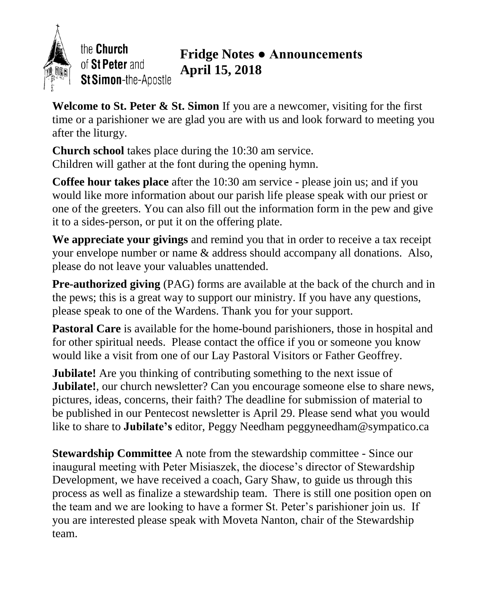

the Church of St Peter and St Simon-the-Apostle

# **Fridge Notes ● Announcements April 15, 2018**

**Welcome to St. Peter & St. Simon** If you are a newcomer, visiting for the first time or a parishioner we are glad you are with us and look forward to meeting you after the liturgy.

**Church school** takes place during the 10:30 am service. Children will gather at the font during the opening hymn.

**Coffee hour takes place** after the 10:30 am service - please join us; and if you would like more information about our parish life please speak with our priest or one of the greeters. You can also fill out the information form in the pew and give it to a sides-person, or put it on the offering plate.

**We appreciate your givings** and remind you that in order to receive a tax receipt your envelope number or name & address should accompany all donations. Also, please do not leave your valuables unattended.

**Pre-authorized giving** (PAG) forms are available at the back of the church and in the pews; this is a great way to support our ministry. If you have any questions, please speak to one of the Wardens. Thank you for your support.

**Pastoral Care** is available for the home-bound parishioners, those in hospital and for other spiritual needs. Please contact the office if you or someone you know would like a visit from one of our Lay Pastoral Visitors or Father Geoffrey.

**Jubilate!** Are you thinking of contributing something to the next issue of **Jubilate!**, our church newsletter? Can you encourage someone else to share news, pictures, ideas, concerns, their faith? The deadline for submission of material to be published in our Pentecost newsletter is April 29. Please send what you would like to share to **Jubilate's** editor, Peggy Needham peggyneedham@sympatico.ca

**Stewardship Committee** A note from the stewardship committee - Since our inaugural meeting with Peter Misiaszek, the diocese's director of Stewardship Development, we have received a coach, Gary Shaw, to guide us through this process as well as finalize a stewardship team. There is still one position open on the team and we are looking to have a former St. Peter's parishioner join us. If you are interested please speak with Moveta Nanton, chair of the Stewardship team.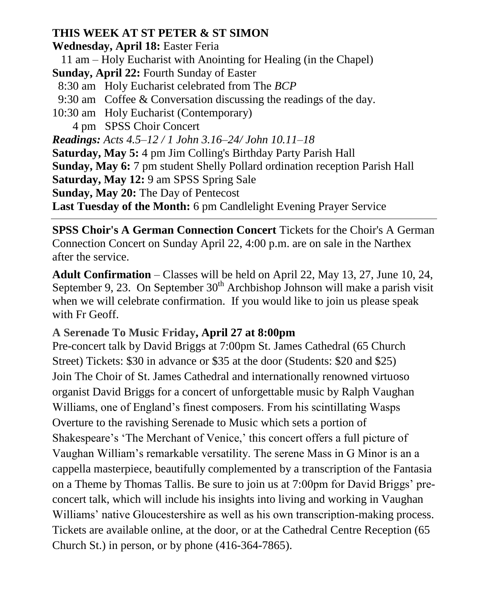### **THIS WEEK AT ST PETER & ST SIMON**

**Wednesday, April 18:** Easter Feria

11 am – Holy Eucharist with Anointing for Healing (in the Chapel)

**Sunday, April 22:** Fourth Sunday of Easter

- 8:30 am Holy Eucharist celebrated from The *BCP*
- 9:30 am Coffee & Conversation discussing the readings of the day.
- 10:30 am Holy Eucharist (Contemporary)

4 pmSPSS Choir Concert

*Readings: Acts 4.5–12 / 1 John 3.16–24/ John 10.11–18* **Saturday, May 5:** 4 pm Jim Colling's Birthday Party Parish Hall **Sunday, May 6:** 7 pm student Shelly Pollard ordination reception Parish Hall **Saturday, May 12:** 9 am SPSS Spring Sale **Sunday, May 20:** The Day of Pentecost

**Last Tuesday of the Month:** 6 pm Candlelight Evening Prayer Service

**SPSS Choir's A German Connection Concert** Tickets for the Choir's A German Connection Concert on Sunday April 22, 4:00 p.m. are on sale in the Narthex after the service.

**Adult Confirmation** – Classes will be held on April 22, May 13, 27, June 10, 24, September 9, 23. On September  $30<sup>th</sup>$  Archbishop Johnson will make a parish visit when we will celebrate confirmation. If you would like to join us please speak with Fr Geoff.

## **A Serenade To Music Friday, April 27 at 8:00pm**

Pre-concert talk by David Briggs at 7:00pm St. James Cathedral (65 Church Street) Tickets: \$30 in advance or \$35 at the door (Students: \$20 and \$25) Join The Choir of St. James Cathedral and internationally renowned virtuoso organist David Briggs for a concert of unforgettable music by Ralph Vaughan Williams, one of England's finest composers. From his scintillating Wasps Overture to the ravishing Serenade to Music which sets a portion of Shakespeare's 'The Merchant of Venice,' this concert offers a full picture of Vaughan William's remarkable versatility. The serene Mass in G Minor is an a cappella masterpiece, beautifully complemented by a transcription of the Fantasia on a Theme by Thomas Tallis. Be sure to join us at 7:00pm for David Briggs' preconcert talk, which will include his insights into living and working in Vaughan Williams' native Gloucestershire as well as his own transcription-making process. Tickets are available online, at the door, or at the Cathedral Centre Reception (65 Church St.) in person, or by phone (416-364-7865).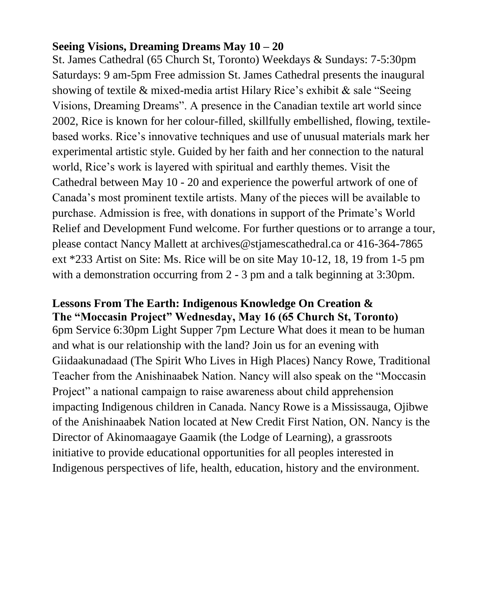#### **Seeing Visions, Dreaming Dreams May 10 – 20**

St. James Cathedral (65 Church St, Toronto) Weekdays & Sundays: 7-5:30pm Saturdays: 9 am-5pm Free admission St. James Cathedral presents the inaugural showing of textile & mixed-media artist Hilary Rice's exhibit & sale "Seeing Visions, Dreaming Dreams". A presence in the Canadian textile art world since 2002, Rice is known for her colour-filled, skillfully embellished, flowing, textilebased works. Rice's innovative techniques and use of unusual materials mark her experimental artistic style. Guided by her faith and her connection to the natural world, Rice's work is layered with spiritual and earthly themes. Visit the Cathedral between May 10 - 20 and experience the powerful artwork of one of Canada's most prominent textile artists. Many of the pieces will be available to purchase. Admission is free, with donations in support of the Primate's World Relief and Development Fund welcome. For further questions or to arrange a tour, please contact Nancy Mallett at archives@stjamescathedral.ca or 416-364-7865 ext \*233 Artist on Site: Ms. Rice will be on site May 10-12, 18, 19 from 1-5 pm with a demonstration occurring from 2 - 3 pm and a talk beginning at 3:30pm.

#### **Lessons From The Earth: Indigenous Knowledge On Creation & The "Moccasin Project" Wednesday, May 16 (65 Church St, Toronto)**

6pm Service 6:30pm Light Supper 7pm Lecture What does it mean to be human and what is our relationship with the land? Join us for an evening with Giidaakunadaad (The Spirit Who Lives in High Places) Nancy Rowe, Traditional Teacher from the Anishinaabek Nation. Nancy will also speak on the "Moccasin Project" a national campaign to raise awareness about child apprehension impacting Indigenous children in Canada. Nancy Rowe is a Mississauga, Ojibwe of the Anishinaabek Nation located at New Credit First Nation, ON. Nancy is the Director of Akinomaagaye Gaamik (the Lodge of Learning), a grassroots initiative to provide educational opportunities for all peoples interested in Indigenous perspectives of life, health, education, history and the environment.